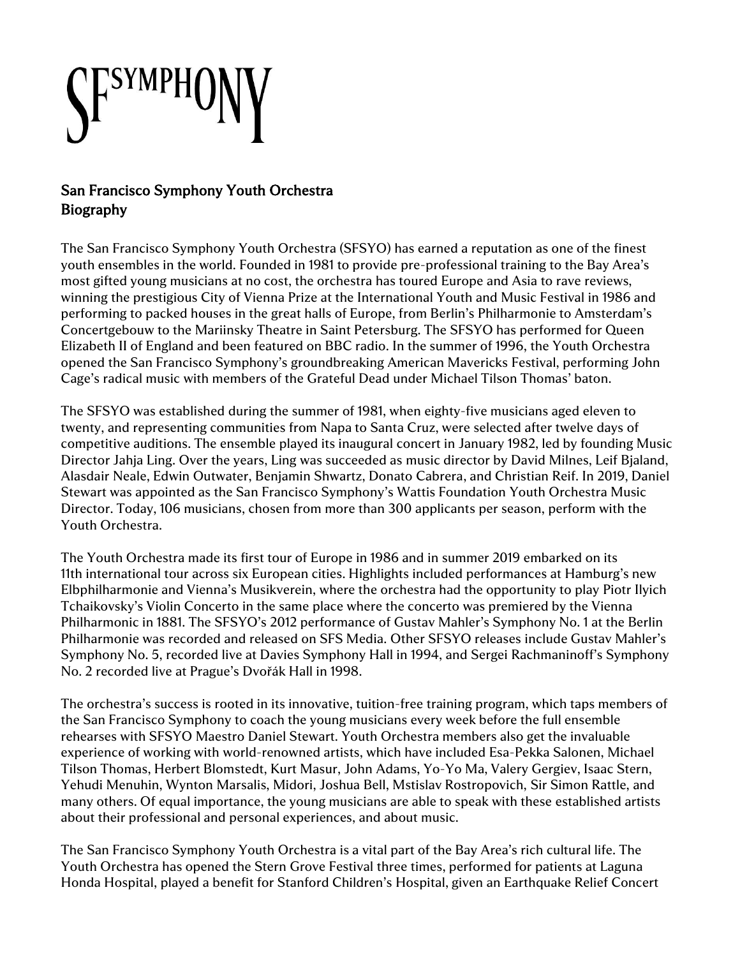## San Francisco Symphony Youth Orchestra Biography

The San Francisco Symphony Youth Orchestra (SFSYO) has earned a reputation as one of the finest youth ensembles in the world. Founded in 1981 to provide pre-professional training to the Bay Area's most gifted young musicians at no cost, the orchestra has toured Europe and Asia to rave reviews, winning the prestigious City of Vienna Prize at the International Youth and Music Festival in 1986 and performing to packed houses in the great halls of Europe, from Berlin's Philharmonie to Amsterdam's Concertgebouw to the Mariinsky Theatre in Saint Petersburg. The SFSYO has performed for Queen Elizabeth II of England and been featured on BBC radio. In the summer of 1996, the Youth Orchestra opened the San Francisco Symphony's groundbreaking American Mavericks Festival, performing John Cage's radical music with members of the Grateful Dead under Michael Tilson Thomas' baton.

The SFSYO was established during the summer of 1981, when eighty-five musicians aged eleven to twenty, and representing communities from Napa to Santa Cruz, were selected after twelve days of competitive auditions. The ensemble played its inaugural concert in January 1982, led by founding Music Director Jahja Ling. Over the years, Ling was succeeded as music director by David Milnes, Leif Bjaland, Alasdair Neale, Edwin Outwater, Benjamin Shwartz, Donato Cabrera, and Christian Reif. In 2019, Daniel Stewart was appointed as the San Francisco Symphony's Wattis Foundation Youth Orchestra Music Director. Today, 106 musicians, chosen from more than 300 applicants per season, perform with the Youth Orchestra.

The Youth Orchestra made its first tour of Europe in 1986 and in summer 2019 embarked on its 11th international tour across six European cities. Highlights included performances at Hamburg's new Elbphilharmonie and Vienna's Musikverein, where the orchestra had the opportunity to play Piotr Ilyich Tchaikovsky's Violin Concerto in the same place where the concerto was premiered by the Vienna Philharmonic in 1881. The SFSYO's 2012 performance of Gustav Mahler's Symphony No. 1 at the Berlin Philharmonie was recorded and released on SFS Media. Other SFSYO releases include Gustav Mahler's Symphony No. 5, recorded live at Davies Symphony Hall in 1994, and Sergei Rachmaninoff's Symphony No. 2 recorded live at Prague's Dvořák Hall in 1998.

The orchestra's success is rooted in its innovative, tuition-free training program, which taps members of the San Francisco Symphony to coach the young musicians every week before the full ensemble rehearses with SFSYO Maestro Daniel Stewart. Youth Orchestra members also get the invaluable experience of working with world-renowned artists, which have included Esa-Pekka Salonen, Michael Tilson Thomas, Herbert Blomstedt, Kurt Masur, John Adams, Yo-Yo Ma, Valery Gergiev, Isaac Stern, Yehudi Menuhin, Wynton Marsalis, Midori, Joshua Bell, Mstislav Rostropovich, Sir Simon Rattle, and many others. Of equal importance, the young musicians are able to speak with these established artists about their professional and personal experiences, and about music.

The San Francisco Symphony Youth Orchestra is a vital part of the Bay Area's rich cultural life. The Youth Orchestra has opened the Stern Grove Festival three times, performed for patients at Laguna Honda Hospital, played a benefit for Stanford Children's Hospital, given an Earthquake Relief Concert